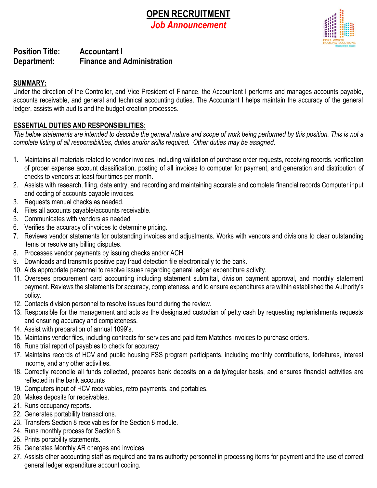# **OPEN RECRUITMENT** *Job Announcement*



# **Position Title: Accountant I Department: Finance and Administration**

## **SUMMARY:**

Under the direction of the Controller, and Vice President of Finance, the Accountant I performs and manages accounts payable, accounts receivable, and general and technical accounting duties. The Accountant I helps maintain the accuracy of the general ledger, assists with audits and the budget creation processes.

### **ESSENTIAL DUTIES AND RESPONSIBILITIES:**

*The below statements are intended to describe the general nature and scope of work being performed by this position. This is not a complete listing of all responsibilities, duties and/or skills required. Other duties may be assigned.*

- 1. Maintains all materials related to vendor invoices, including validation of purchase order requests, receiving records, verification of proper expense account classification, posting of all invoices to computer for payment, and generation and distribution of checks to vendors at least four times per month.
- 2. Assists with research, filing, data entry, and recording and maintaining accurate and complete financial records Computer input and coding of accounts payable invoices.
- 3. Requests manual checks as needed.
- 4. Files all accounts payable/accounts receivable.
- 5. Communicates with vendors as needed
- 6. Verifies the accuracy of invoices to determine pricing.
- 7. Reviews vendor statements for outstanding invoices and adjustments. Works with vendors and divisions to clear outstanding items or resolve any billing disputes.
- 8. Processes vendor payments by issuing checks and/or ACH.
- 9. Downloads and transmits positive pay fraud detection file electronically to the bank.
- 10. Aids appropriate personnel to resolve issues regarding general ledger expenditure activity.
- 11. Oversees procurement card accounting including statement submittal, division payment approval, and monthly statement payment. Reviews the statements for accuracy, completeness, and to ensure expenditures are within established the Authority's policy.
- 12. Contacts division personnel to resolve issues found during the review.
- 13. Responsible for the management and acts as the designated custodian of petty cash by requesting replenishments requests and ensuring accuracy and completeness.
- 14. Assist with preparation of annual 1099's.
- 15. Maintains vendor files, including contracts for services and paid item Matches invoices to purchase orders.
- 16. Runs trial report of payables to check for accuracy
- 17. Maintains records of HCV and public housing FSS program participants, including monthly contributions, forfeitures, interest income, and any other activities.
- 18. Correctly reconcile all funds collected, prepares bank deposits on a daily/regular basis, and ensures financial activities are reflected in the bank accounts
- 19. Computers input of HCV receivables, retro payments, and portables.
- 20. Makes deposits for receivables.
- 21. Runs occupancy reports.
- 22. Generates portability transactions.
- 23. Transfers Section 8 receivables for the Section 8 module.
- 24. Runs monthly process for Section 8.
- 25. Prints portability statements.
- 26. Generates Monthly AR charges and invoices
- 27. Assists other accounting staff as required and trains authority personnel in processing items for payment and the use of correct general ledger expenditure account coding.